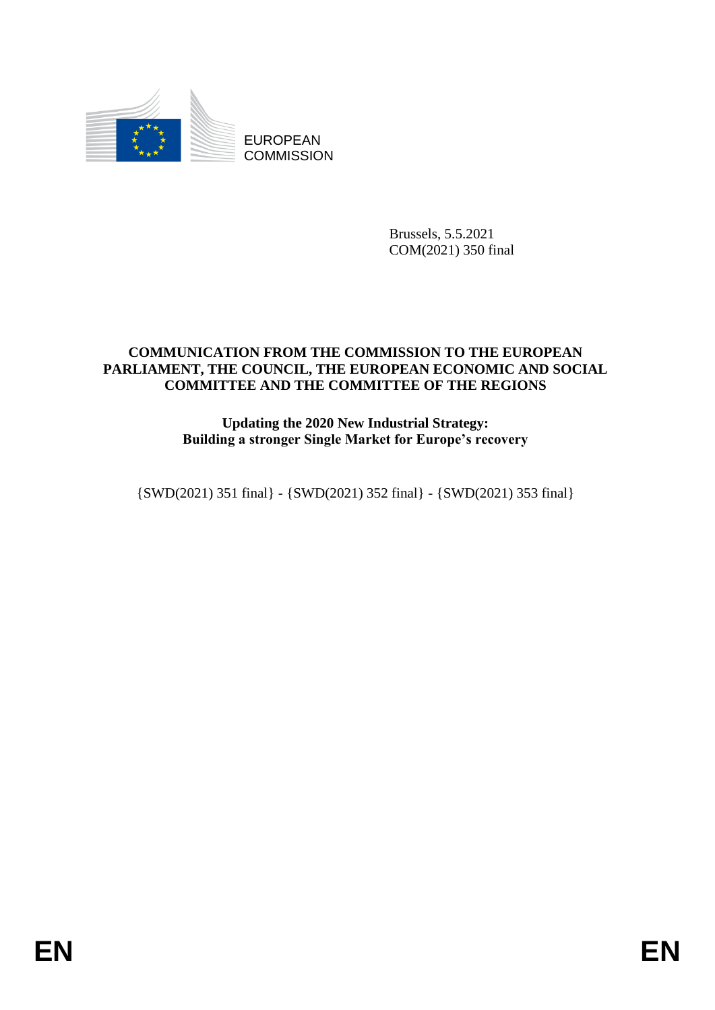

EUROPEAN **COMMISSION** 

> Brussels, 5.5.2021 COM(2021) 350 final

# **COMMUNICATION FROM THE COMMISSION TO THE EUROPEAN PARLIAMENT, THE COUNCIL, THE EUROPEAN ECONOMIC AND SOCIAL COMMITTEE AND THE COMMITTEE OF THE REGIONS**

# **Updating the 2020 New Industrial Strategy: Building a stronger Single Market for Europe's recovery**

{SWD(2021) 351 final} - {SWD(2021) 352 final} - {SWD(2021) 353 final}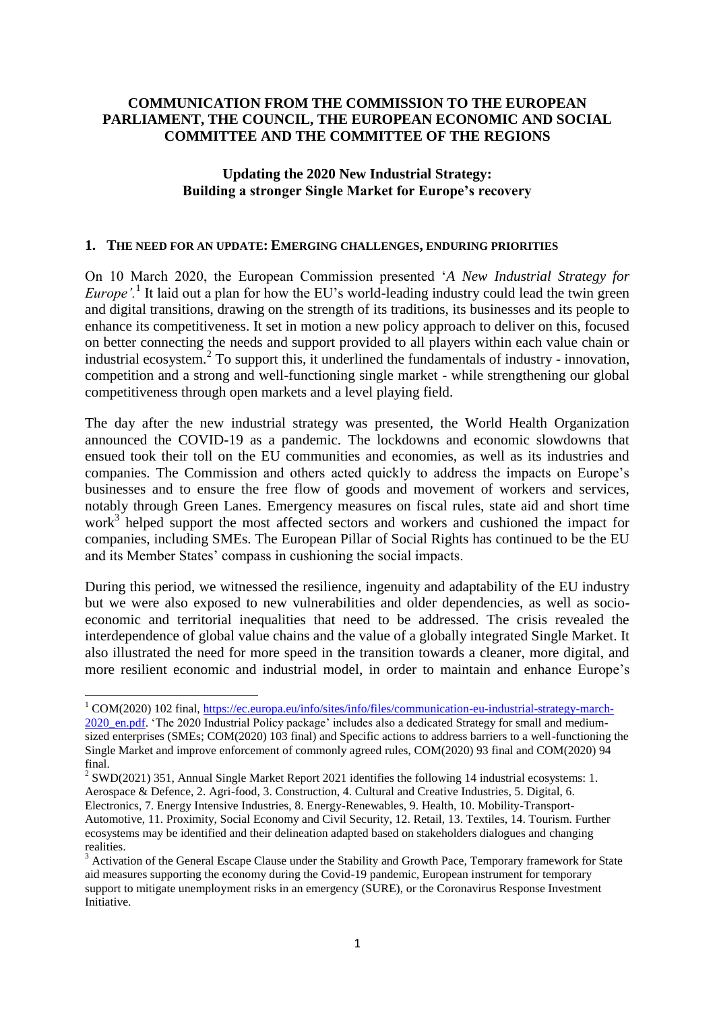### **COMMUNICATION FROM THE COMMISSION TO THE EUROPEAN PARLIAMENT, THE COUNCIL, THE EUROPEAN ECONOMIC AND SOCIAL COMMITTEE AND THE COMMITTEE OF THE REGIONS**

## **Updating the 2020 New Industrial Strategy: Building a stronger Single Market for Europe's recovery**

#### **1. THE NEED FOR AN UPDATE: EMERGING CHALLENGES, ENDURING PRIORITIES**

On 10 March 2020, the European Commission presented '*A New Industrial Strategy for Europe'.*<sup>1</sup> It laid out a plan for how the EU's world-leading industry could lead the twin green and digital transitions, drawing on the strength of its traditions, its businesses and its people to enhance its competitiveness. It set in motion a new policy approach to deliver on this, focused on better connecting the needs and support provided to all players within each value chain or industrial ecosystem.<sup>2</sup> To support this, it underlined the fundamentals of industry - innovation, competition and a strong and well-functioning single market - while strengthening our global competitiveness through open markets and a level playing field.

The day after the new industrial strategy was presented, the World Health Organization announced the COVID-19 as a pandemic. The lockdowns and economic slowdowns that ensued took their toll on the EU communities and economies, as well as its industries and companies. The Commission and others acted quickly to address the impacts on Europe's businesses and to ensure the free flow of goods and movement of workers and services, notably through Green Lanes. Emergency measures on fiscal rules, state aid and short time work<sup>3</sup> helped support the most affected sectors and workers and cushioned the impact for companies, including SMEs. The European Pillar of Social Rights has continued to be the EU and its Member States' compass in cushioning the social impacts.

During this period, we witnessed the resilience, ingenuity and adaptability of the EU industry but we were also exposed to new vulnerabilities and older dependencies, as well as socioeconomic and territorial inequalities that need to be addressed. The crisis revealed the interdependence of global value chains and the value of a globally integrated Single Market. It also illustrated the need for more speed in the transition towards a cleaner, more digital, and more resilient economic and industrial model, in order to maintain and enhance Europe's

<sup>2</sup> SWD(2021) 351, Annual Single Market Report 2021 identifies the following 14 industrial ecosystems: 1. Aerospace & Defence, 2. Agri-food, 3. Construction, 4. Cultural and Creative Industries, 5. Digital, 6. Electronics, 7. Energy Intensive Industries, 8. Energy-Renewables, 9. Health, 10. Mobility-Transport-

1

<sup>1</sup> COM(2020) 102 final, [https://ec.europa.eu/info/sites/info/files/communication-eu-industrial-strategy-march-](https://ec.europa.eu/info/sites/info/files/communication-eu-industrial-strategy-march-2020_en.pdf)2020 en.pdf. 'The 2020 Industrial Policy package' includes also a dedicated Strategy for small and mediumsized enterprises (SMEs; COM(2020) 103 final) and Specific actions to address barriers to a well-functioning the Single Market and improve enforcement of commonly agreed rules, COM(2020) 93 final and COM(2020) 94 final.

Automotive, 11. Proximity, Social Economy and Civil Security, 12. Retail, 13. Textiles, 14. Tourism. Further ecosystems may be identified and their delineation adapted based on stakeholders dialogues and changing realities.

<sup>&</sup>lt;sup>3</sup> Activation of the General Escape Clause under the Stability and Growth Pace, Temporary framework for State aid measures supporting the economy during the Covid-19 pandemic, European instrument for temporary support to mitigate unemployment risks in an emergency (SURE), or the Coronavirus Response Investment Initiative.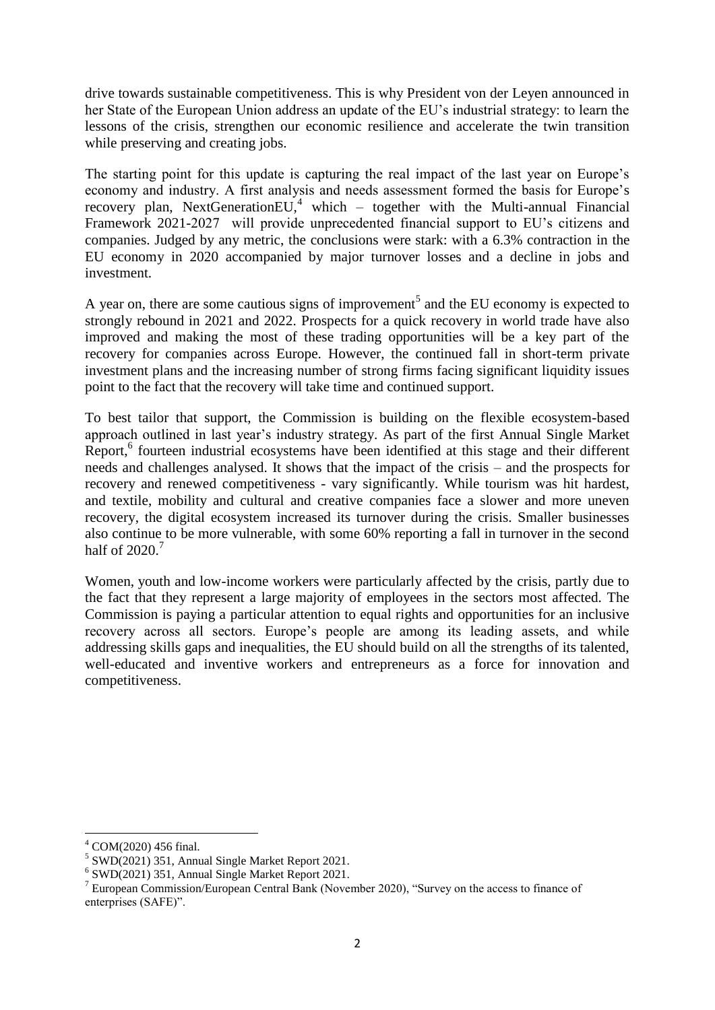drive towards sustainable competitiveness. This is why President von der Leyen announced in her State of the European Union address an update of the EU's industrial strategy: to learn the lessons of the crisis, strengthen our economic resilience and accelerate the twin transition while preserving and creating jobs.

The starting point for this update is capturing the real impact of the last year on Europe's economy and industry. A first analysis and needs assessment formed the basis for Europe's recovery plan, NextGenerationEU,<sup>4</sup> which – together with the Multi-annual Financial Framework 2021-2027 will provide unprecedented financial support to EU's citizens and companies. Judged by any metric, the conclusions were stark: with a 6.3% contraction in the EU economy in 2020 accompanied by major turnover losses and a decline in jobs and investment.

A year on, there are some cautious signs of improvement<sup>5</sup> and the EU economy is expected to strongly rebound in 2021 and 2022. Prospects for a quick recovery in world trade have also improved and making the most of these trading opportunities will be a key part of the recovery for companies across Europe. However, the continued fall in short-term private investment plans and the increasing number of strong firms facing significant liquidity issues point to the fact that the recovery will take time and continued support.

To best tailor that support, the Commission is building on the flexible ecosystem-based approach outlined in last year's industry strategy. As part of the first Annual Single Market Report,<sup>6</sup> fourteen industrial ecosystems have been identified at this stage and their different needs and challenges analysed. It shows that the impact of the crisis – and the prospects for recovery and renewed competitiveness - vary significantly. While tourism was hit hardest, and textile, mobility and cultural and creative companies face a slower and more uneven recovery, the digital ecosystem increased its turnover during the crisis. Smaller businesses also continue to be more vulnerable, with some 60% reporting a fall in turnover in the second half of  $2020$ <sup>7</sup>

Women, youth and low-income workers were particularly affected by the crisis, partly due to the fact that they represent a large majority of employees in the sectors most affected. The Commission is paying a particular attention to equal rights and opportunities for an inclusive recovery across all sectors. Europe's people are among its leading assets, and while addressing skills gaps and inequalities, the EU should build on all the strengths of its talented, well-educated and inventive workers and entrepreneurs as a force for innovation and competitiveness.

<sup>4</sup> COM(2020) 456 final.

 $5$  SWD(2021) 351, Annual Single Market Report 2021.

<sup>6</sup> SWD(2021) 351, Annual Single Market Report 2021.

<sup>7</sup> European Commission/European Central Bank (November 2020), "Survey on the access to finance of enterprises (SAFE)".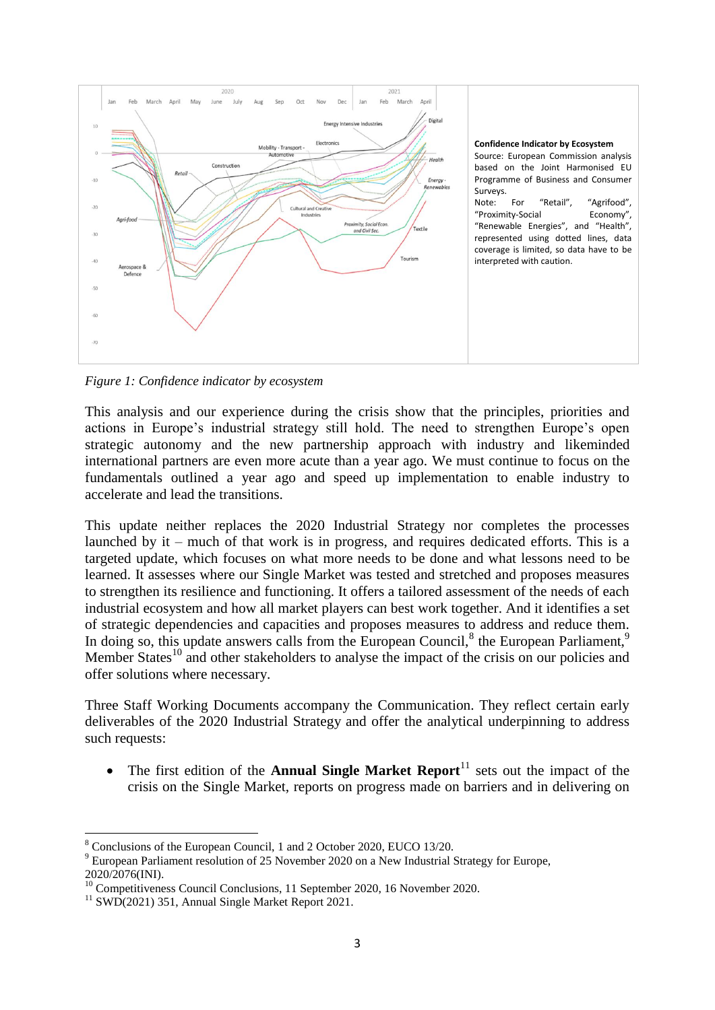

*Figure 1: Confidence indicator by ecosystem*

This analysis and our experience during the crisis show that the principles, priorities and actions in Europe's industrial strategy still hold. The need to strengthen Europe's open strategic autonomy and the new partnership approach with industry and likeminded international partners are even more acute than a year ago. We must continue to focus on the fundamentals outlined a year ago and speed up implementation to enable industry to accelerate and lead the transitions.

This update neither replaces the 2020 Industrial Strategy nor completes the processes launched by it – much of that work is in progress, and requires dedicated efforts. This is a targeted update, which focuses on what more needs to be done and what lessons need to be learned. It assesses where our Single Market was tested and stretched and proposes measures to strengthen its resilience and functioning. It offers a tailored assessment of the needs of each industrial ecosystem and how all market players can best work together. And it identifies a set of strategic dependencies and capacities and proposes measures to address and reduce them. In doing so, this update answers calls from the European Council, $8$  the European Parliament, $9$ Member States<sup>10</sup> and other stakeholders to analyse the impact of the crisis on our policies and offer solutions where necessary.

Three Staff Working Documents accompany the Communication. They reflect certain early deliverables of the 2020 Industrial Strategy and offer the analytical underpinning to address such requests:

• The first edition of the **Annual Single Market Report**<sup>11</sup> sets out the impact of the crisis on the Single Market, reports on progress made on barriers and in delivering on

<sup>8</sup> Conclusions of the European Council, 1 and 2 October 2020, EUCO 13/20.

<sup>9</sup> European Parliament resolution of 25 November 2020 on a New Industrial Strategy for Europe, 2020/2076(INI).

<sup>&</sup>lt;sup>10</sup> Competitiveness Council Conclusions, 11 September 2020, 16 November 2020.

<sup>11</sup> SWD(2021) 351, Annual Single Market Report 2021.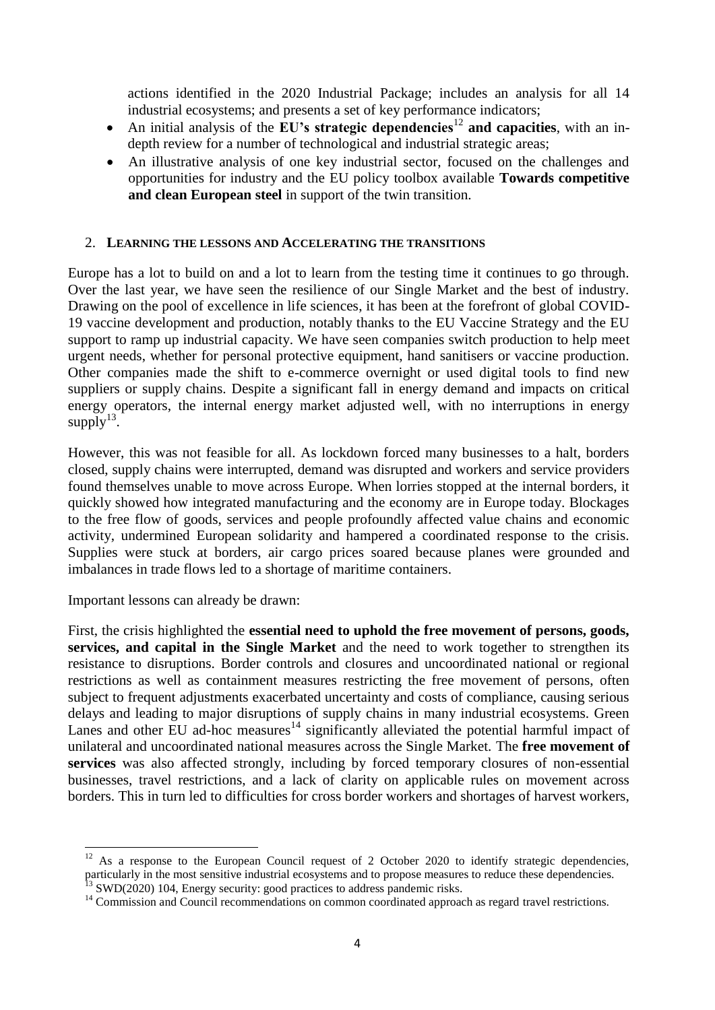actions identified in the 2020 Industrial Package; includes an analysis for all 14 industrial ecosystems; and presents a set of key performance indicators;

- An initial analysis of the **EU's strategic dependencies**<sup>12</sup> **and capacities**, with an indepth review for a number of technological and industrial strategic areas;
- An illustrative analysis of one key industrial sector, focused on the challenges and opportunities for industry and the EU policy toolbox available **Towards competitive and clean European steel** in support of the twin transition.

### 2. **LEARNING THE LESSONS AND ACCELERATING THE TRANSITIONS**

Europe has a lot to build on and a lot to learn from the testing time it continues to go through. Over the last year, we have seen the resilience of our Single Market and the best of industry. Drawing on the pool of excellence in life sciences, it has been at the forefront of global COVID-19 vaccine development and production, notably thanks to the EU Vaccine Strategy and the EU support to ramp up industrial capacity. We have seen companies switch production to help meet urgent needs, whether for personal protective equipment, hand sanitisers or vaccine production. Other companies made the shift to e-commerce overnight or used digital tools to find new suppliers or supply chains. Despite a significant fall in energy demand and impacts on critical energy operators, the internal energy market adjusted well, with no interruptions in energy supply $^{13}$ .

However, this was not feasible for all. As lockdown forced many businesses to a halt, borders closed, supply chains were interrupted, demand was disrupted and workers and service providers found themselves unable to move across Europe. When lorries stopped at the internal borders, it quickly showed how integrated manufacturing and the economy are in Europe today. Blockages to the free flow of goods, services and people profoundly affected value chains and economic activity, undermined European solidarity and hampered a coordinated response to the crisis. Supplies were stuck at borders, air cargo prices soared because planes were grounded and imbalances in trade flows led to a shortage of maritime containers.

Important lessons can already be drawn:

First, the crisis highlighted the **essential need to uphold the free movement of persons, goods, services, and capital in the Single Market** and the need to work together to strengthen its resistance to disruptions. Border controls and closures and uncoordinated national or regional restrictions as well as containment measures restricting the free movement of persons, often subject to frequent adjustments exacerbated uncertainty and costs of compliance, causing serious delays and leading to major disruptions of supply chains in many industrial ecosystems. Green Lanes and other EU ad-hoc measures<sup>14</sup> significantly alleviated the potential harmful impact of unilateral and uncoordinated national measures across the Single Market. The **free movement of services** was also affected strongly, including by forced temporary closures of non-essential businesses, travel restrictions, and a lack of clarity on applicable rules on movement across borders. This in turn led to difficulties for cross border workers and shortages of harvest workers,

**<sup>.</sup>**  $12$  As a response to the European Council request of 2 October 2020 to identify strategic dependencies, particularly in the most sensitive industrial ecosystems and to propose measures to reduce these dependencies.  $^{13}$  SWD(2020) 104, Energy security: good practices to address pandemic risks.

<sup>&</sup>lt;sup>14</sup> Commission and Council recommendations on common coordinated approach as regard travel restrictions.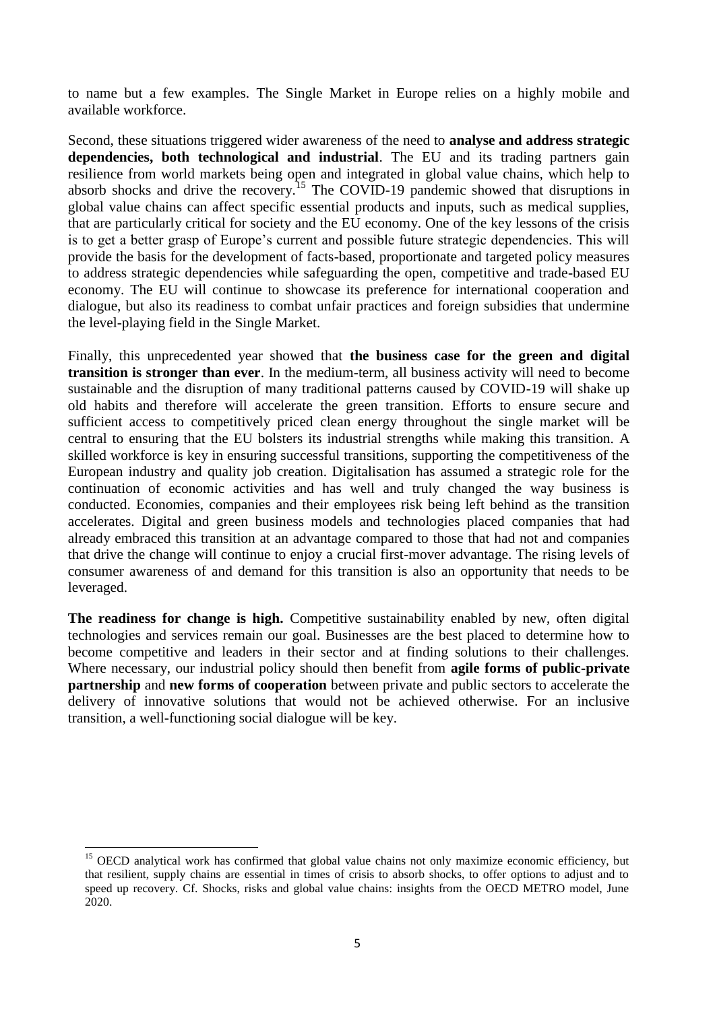to name but a few examples. The Single Market in Europe relies on a highly mobile and available workforce.

Second, these situations triggered wider awareness of the need to **analyse and address strategic dependencies, both technological and industrial**. The EU and its trading partners gain resilience from world markets being open and integrated in global value chains, which help to absorb shocks and drive the recovery.<sup>15</sup> The COVID-19 pandemic showed that disruptions in global value chains can affect specific essential products and inputs, such as medical supplies, that are particularly critical for society and the EU economy. One of the key lessons of the crisis is to get a better grasp of Europe's current and possible future strategic dependencies. This will provide the basis for the development of facts-based, proportionate and targeted policy measures to address strategic dependencies while safeguarding the open, competitive and trade-based EU economy. The EU will continue to showcase its preference for international cooperation and dialogue, but also its readiness to combat unfair practices and foreign subsidies that undermine the level-playing field in the Single Market.

Finally, this unprecedented year showed that **the business case for the green and digital transition is stronger than ever**. In the medium-term, all business activity will need to become sustainable and the disruption of many traditional patterns caused by COVID-19 will shake up old habits and therefore will accelerate the green transition. Efforts to ensure secure and sufficient access to competitively priced clean energy throughout the single market will be central to ensuring that the EU bolsters its industrial strengths while making this transition. A skilled workforce is key in ensuring successful transitions, supporting the competitiveness of the European industry and quality job creation. Digitalisation has assumed a strategic role for the continuation of economic activities and has well and truly changed the way business is conducted. Economies, companies and their employees risk being left behind as the transition accelerates. Digital and green business models and technologies placed companies that had already embraced this transition at an advantage compared to those that had not and companies that drive the change will continue to enjoy a crucial first-mover advantage. The rising levels of consumer awareness of and demand for this transition is also an opportunity that needs to be leveraged.

The readiness for change is high. Competitive sustainability enabled by new, often digital technologies and services remain our goal. Businesses are the best placed to determine how to become competitive and leaders in their sector and at finding solutions to their challenges. Where necessary, our industrial policy should then benefit from **agile forms of public-private partnership** and **new forms of cooperation** between private and public sectors to accelerate the delivery of innovative solutions that would not be achieved otherwise. For an inclusive transition, a well-functioning social dialogue will be key.

**<sup>.</sup>**  $15$  OECD analytical work has confirmed that global value chains not only maximize economic efficiency, but that resilient, supply chains are essential in times of crisis to absorb shocks, to offer options to adjust and to speed up recovery. Cf. Shocks, risks and global value chains: insights from the OECD METRO model, June 2020.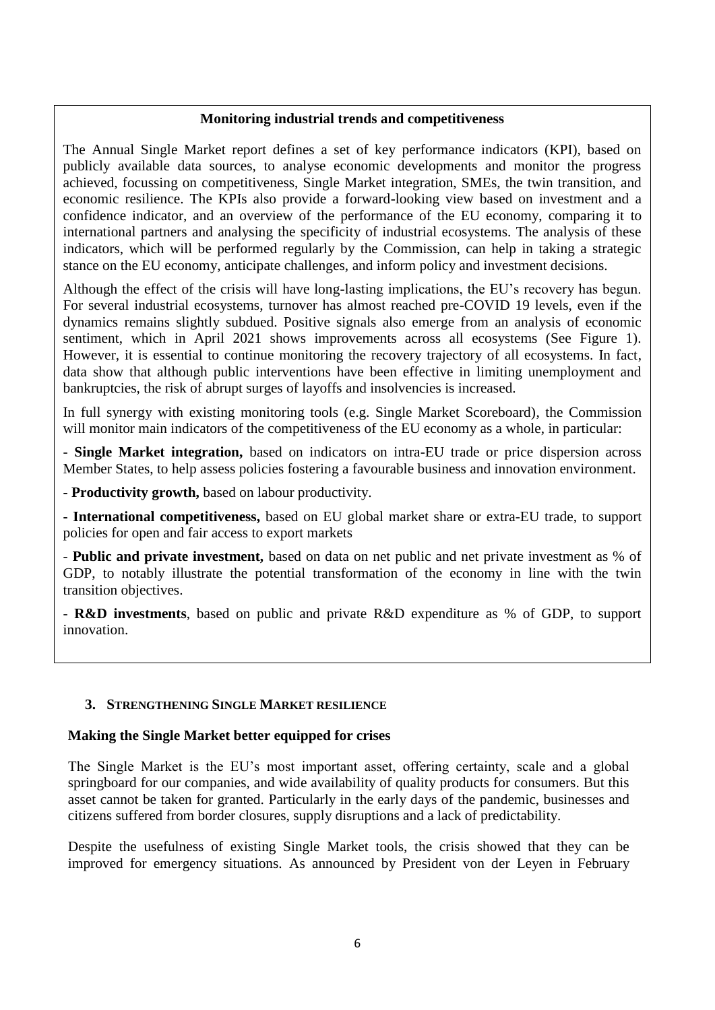### **Monitoring industrial trends and competitiveness**

The Annual Single Market report defines a set of key performance indicators (KPI), based on publicly available data sources, to analyse economic developments and monitor the progress achieved, focussing on competitiveness, Single Market integration, SMEs, the twin transition, and economic resilience. The KPIs also provide a forward-looking view based on investment and a confidence indicator, and an overview of the performance of the EU economy, comparing it to international partners and analysing the specificity of industrial ecosystems. The analysis of these indicators, which will be performed regularly by the Commission, can help in taking a strategic stance on the EU economy, anticipate challenges, and inform policy and investment decisions.

Although the effect of the crisis will have long-lasting implications, the EU's recovery has begun. For several industrial ecosystems, turnover has almost reached pre-COVID 19 levels, even if the dynamics remains slightly subdued. Positive signals also emerge from an analysis of economic sentiment, which in April 2021 shows improvements across all ecosystems (See Figure 1). However, it is essential to continue monitoring the recovery trajectory of all ecosystems. In fact, data show that although public interventions have been effective in limiting unemployment and bankruptcies, the risk of abrupt surges of layoffs and insolvencies is increased.

In full synergy with existing monitoring tools (e.g. Single Market Scoreboard), the Commission will monitor main indicators of the competitiveness of the EU economy as a whole, in particular:

- **Single Market integration,** based on indicators on intra-EU trade or price dispersion across Member States, to help assess policies fostering a favourable business and innovation environment.

**- Productivity growth,** based on labour productivity.

**- International competitiveness,** based on EU global market share or extra-EU trade, to support policies for open and fair access to export markets

- **Public and private investment,** based on data on net public and net private investment as % of GDP, to notably illustrate the potential transformation of the economy in line with the twin transition objectives.

- **R&D investments**, based on public and private R&D expenditure as % of GDP, to support innovation.

## **3. STRENGTHENING SINGLE MARKET RESILIENCE**

### **Making the Single Market better equipped for crises**

The Single Market is the EU's most important asset, offering certainty, scale and a global springboard for our companies, and wide availability of quality products for consumers. But this asset cannot be taken for granted. Particularly in the early days of the pandemic, businesses and citizens suffered from border closures, supply disruptions and a lack of predictability.

Despite the usefulness of existing Single Market tools, the crisis showed that they can be improved for emergency situations. As announced by President von der Leyen in February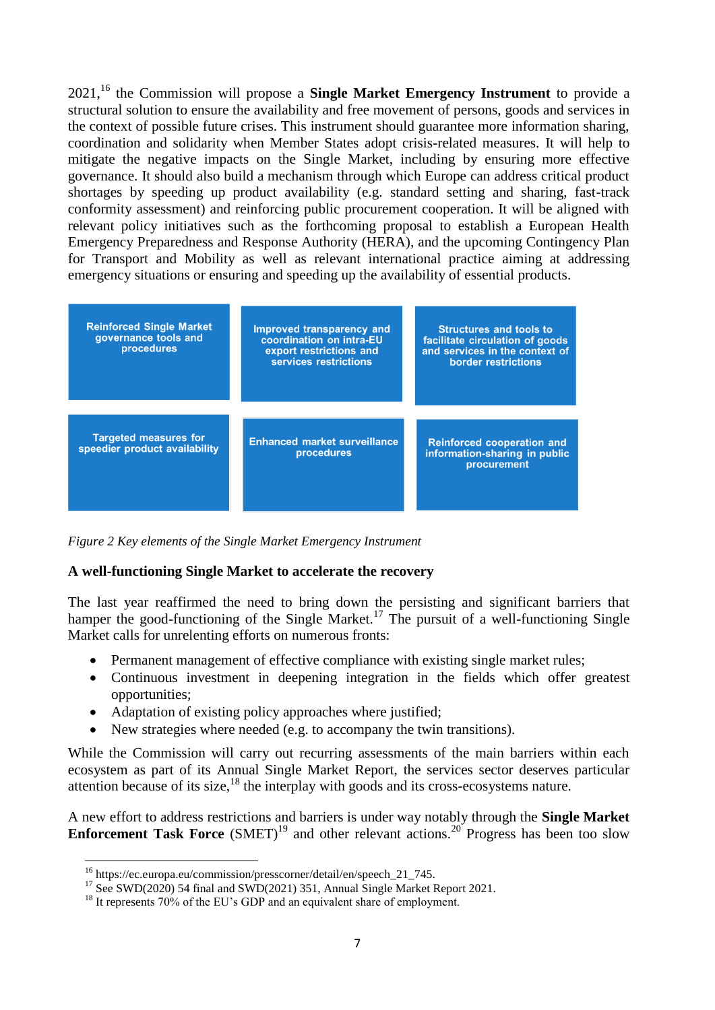2021,<sup>16</sup> the Commission will propose a **Single Market Emergency Instrument** to provide a structural solution to ensure the availability and free movement of persons, goods and services in the context of possible future crises. This instrument should guarantee more information sharing, coordination and solidarity when Member States adopt crisis-related measures. It will help to mitigate the negative impacts on the Single Market, including by ensuring more effective governance. It should also build a mechanism through which Europe can address critical product shortages by speeding up product availability (e.g. standard setting and sharing, fast-track conformity assessment) and reinforcing public procurement cooperation. It will be aligned with relevant policy initiatives such as the forthcoming proposal to establish a European Health Emergency Preparedness and Response Authority (HERA), and the upcoming Contingency Plan for Transport and Mobility as well as relevant international practice aiming at addressing emergency situations or ensuring and speeding up the availability of essential products.



*Figure 2 Key elements of the Single Market Emergency Instrument*

### **A well-functioning Single Market to accelerate the recovery**

The last year reaffirmed the need to bring down the persisting and significant barriers that hamper the good-functioning of the Single Market.<sup>17</sup> The pursuit of a well-functioning Single Market calls for unrelenting efforts on numerous fronts:

- Permanent management of effective compliance with existing single market rules;
- Continuous investment in deepening integration in the fields which offer greatest opportunities;
- Adaptation of existing policy approaches where justified;
- New strategies where needed (e.g. to accompany the twin transitions).

While the Commission will carry out recurring assessments of the main barriers within each ecosystem as part of its Annual Single Market Report, the services sector deserves particular attention because of its size, $^{18}$  the interplay with goods and its cross-ecosystems nature.

A new effort to address restrictions and barriers is under way notably through the **Single Market Enforcement Task Force** (SMET)<sup>19</sup> and other relevant actions.<sup>20</sup> Progress has been too slow

 $\overline{a}$ 

<sup>&</sup>lt;sup>16</sup> https://ec.europa.eu/commission/presscorner/detail/en/speech\_21\_745.

<sup>&</sup>lt;sup>17</sup> See SWD(2020) 54 final and SWD(2021) 351, Annual Single Market Report 2021.

<sup>&</sup>lt;sup>18</sup> It represents 70% of the EU's GDP and an equivalent share of employment.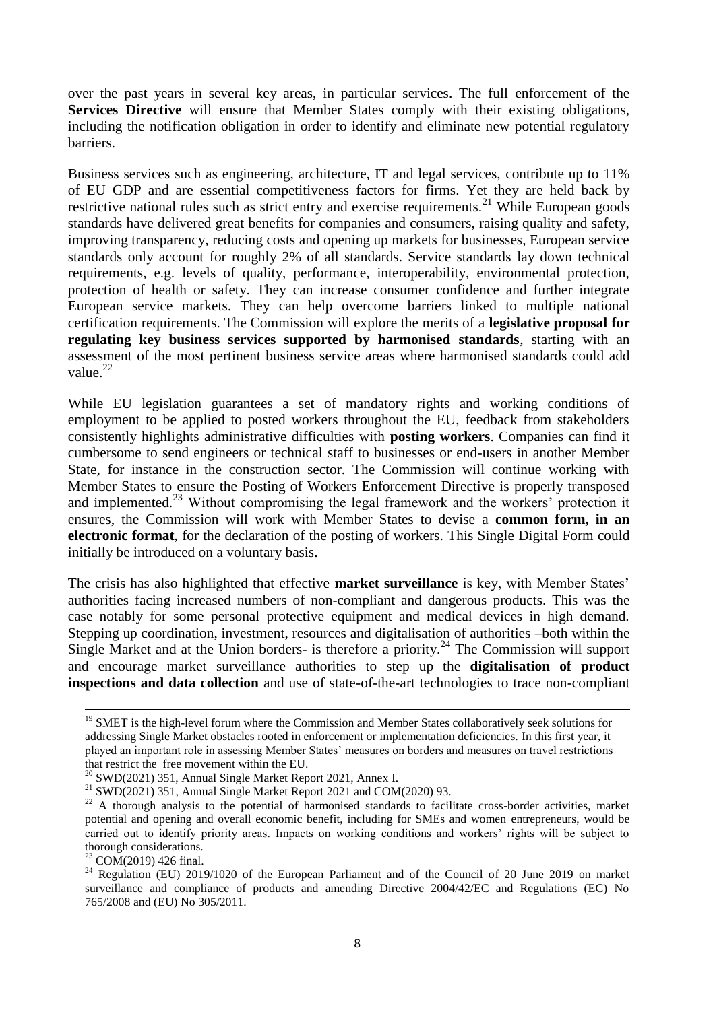over the past years in several key areas, in particular services. The full enforcement of the **Services Directive** will ensure that Member States comply with their existing obligations, including the notification obligation in order to identify and eliminate new potential regulatory barriers.

Business services such as engineering, architecture, IT and legal services, contribute up to 11% of EU GDP and are essential competitiveness factors for firms. Yet they are held back by restrictive national rules such as strict entry and exercise requirements.<sup>21</sup> While European goods standards have delivered great benefits for companies and consumers, raising quality and safety, improving transparency, reducing costs and opening up markets for businesses, European service standards only account for roughly 2% of all standards. Service standards lay down technical requirements, e.g. levels of quality, performance, interoperability, environmental protection, protection of health or safety. They can increase consumer confidence and further integrate European service markets. They can help overcome barriers linked to multiple national certification requirements. The Commission will explore the merits of a **legislative proposal for regulating key business services supported by harmonised standards**, starting with an assessment of the most pertinent business service areas where harmonised standards could add value. $^{22}$ 

While EU legislation guarantees a set of mandatory rights and working conditions of employment to be applied to posted workers throughout the EU, feedback from stakeholders consistently highlights administrative difficulties with **posting workers**. Companies can find it cumbersome to send engineers or technical staff to businesses or end-users in another Member State, for instance in the construction sector. The Commission will continue working with Member States to ensure the Posting of Workers Enforcement Directive is properly transposed and implemented.<sup>23</sup> Without compromising the legal framework and the workers' protection it ensures, the Commission will work with Member States to devise a **common form, in an electronic format**, for the declaration of the posting of workers. This Single Digital Form could initially be introduced on a voluntary basis.

The crisis has also highlighted that effective **market surveillance** is key, with Member States' authorities facing increased numbers of non-compliant and dangerous products. This was the case notably for some personal protective equipment and medical devices in high demand. Stepping up coordination, investment, resources and digitalisation of authorities –both within the Single Market and at the Union borders- is therefore a priority.<sup>24</sup> The Commission will support and encourage market surveillance authorities to step up the **digitalisation of product inspections and data collection** and use of state-of-the-art technologies to trace non-compliant

1

<sup>&</sup>lt;sup>19</sup> SMET is the high-level forum where the Commission and Member States collaboratively seek solutions for addressing Single Market obstacles rooted in enforcement or implementation deficiencies. In this first year, it played an important role in assessing Member States' measures on borders and measures on travel restrictions that restrict the free movement within the EU.

 $^{20}$  SWD(2021) 351, Annual Single Market Report 2021, Annex I.

<sup>&</sup>lt;sup>21</sup> SWD(2021) 351, Annual Single Market Report 2021 and COM(2020) 93.

<sup>&</sup>lt;sup>22</sup> A thorough analysis to the potential of harmonised standards to facilitate cross-border activities, market potential and opening and overall economic benefit, including for SMEs and women entrepreneurs, would be carried out to identify priority areas. Impacts on working conditions and workers' rights will be subject to thorough considerations.

 $^{23}$  COM(2019) 426 final.

<sup>&</sup>lt;sup>24</sup> Regulation (EU) 2019/1020 of the European Parliament and of the Council of 20 June 2019 on market surveillance and compliance of products and amending Directive 2004/42/EC and Regulations (EC) No 765/2008 and (EU) No 305/2011.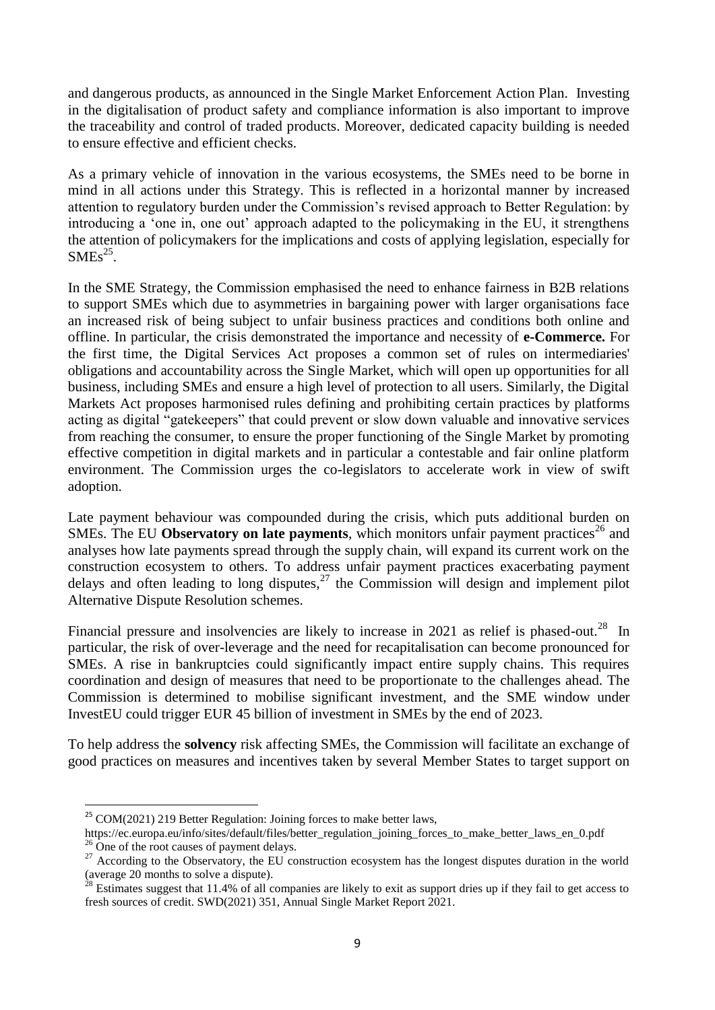and dangerous products, as announced in the Single Market Enforcement Action Plan. Investing in the digitalisation of product safety and compliance information is also important to improve the traceability and control of traded products. Moreover, dedicated capacity building is needed to ensure effective and efficient checks.

As a primary vehicle of innovation in the various ecosystems, the SMEs need to be borne in mind in all actions under this Strategy. This is reflected in a horizontal manner by increased attention to regulatory burden under the Commission's revised approach to Better Regulation: by introducing a 'one in, one out' approach adapted to the policymaking in the EU, it strengthens the attention of policymakers for the implications and costs of applying legislation, especially for  $SMEs<sup>25</sup>$ .

In the SME Strategy, the Commission emphasised the need to enhance fairness in B2B relations to support SMEs which due to asymmetries in bargaining power with larger organisations face an increased risk of being subject to unfair business practices and conditions both online and offline. In particular, the crisis demonstrated the importance and necessity of **e-Commerce.** For the first time, the Digital Services Act proposes a common set of rules on intermediaries' obligations and accountability across the Single Market, which will open up opportunities for all business, including SMEs and ensure a high level of protection to all users. Similarly, the Digital Markets Act proposes harmonised rules defining and prohibiting certain practices by platforms acting as digital "gatekeepers" that could prevent or slow down valuable and innovative services from reaching the consumer, to ensure the proper functioning of the Single Market by promoting effective competition in digital markets and in particular a contestable and fair online platform environment. The Commission urges the co-legislators to accelerate work in view of swift adoption.

Late payment behaviour was compounded during the crisis, which puts additional burden on SMEs. The EU **Observatory on late payments**, which monitors unfair payment practices<sup>26</sup> and analyses how late payments spread through the supply chain, will expand its current work on the construction ecosystem to others. To address unfair payment practices exacerbating payment delays and often leading to long disputes,<sup>27</sup> the Commission will design and implement pilot Alternative Dispute Resolution schemes.

Financial pressure and insolvencies are likely to increase in 2021 as relief is phased-out.<sup>28</sup> In particular, the risk of over-leverage and the need for recapitalisation can become pronounced for SMEs. A rise in bankruptcies could significantly impact entire supply chains. This requires coordination and design of measures that need to be proportionate to the challenges ahead. The Commission is determined to mobilise significant investment, and the SME window under InvestEU could trigger EUR 45 billion of investment in SMEs by the end of 2023.

To help address the **solvency** risk affecting SMEs, the Commission will facilitate an exchange of good practices on measures and incentives taken by several Member States to target support on

 $^{25}$  COM(2021) 219 Better Regulation: Joining forces to make better laws,

https://ec.europa.eu/info/sites/default/files/better\_regulation\_joining\_forces\_to\_make\_better\_laws\_en\_0.pdf

 $26$  One of the root causes of payment delays.

<sup>&</sup>lt;sup>27</sup> According to the Observatory, the EU construction ecosystem has the longest disputes duration in the world (average 20 months to solve a dispute).

 $28$  Estimates suggest that 11.4% of all companies are likely to exit as support dries up if they fail to get access to fresh sources of credit. SWD(2021) 351, Annual Single Market Report 2021.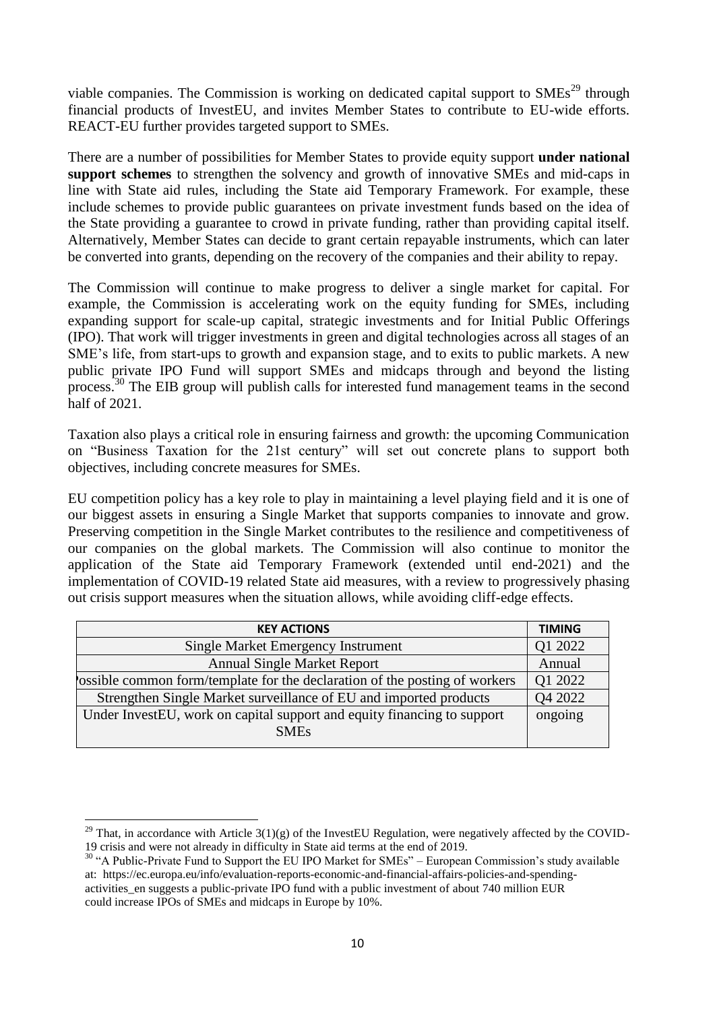viable companies. The Commission is working on dedicated capital support to  $SMEs<sup>29</sup>$  through financial products of InvestEU, and invites Member States to contribute to EU-wide efforts. REACT-EU further provides targeted support to SMEs.

There are a number of possibilities for Member States to provide equity support **under national support schemes** to strengthen the solvency and growth of innovative SMEs and mid-caps in line with State aid rules, including the State aid Temporary Framework. For example, these include schemes to provide public guarantees on private investment funds based on the idea of the State providing a guarantee to crowd in private funding, rather than providing capital itself. Alternatively, Member States can decide to grant certain repayable instruments, which can later be converted into grants, depending on the recovery of the companies and their ability to repay.

The Commission will continue to make progress to deliver a single market for capital. For example, the Commission is accelerating work on the equity funding for SMEs, including expanding support for scale-up capital, strategic investments and for Initial Public Offerings (IPO). That work will trigger investments in green and digital technologies across all stages of an SME's life, from start-ups to growth and expansion stage, and to exits to public markets. A new public private IPO Fund will support SMEs and midcaps through and beyond the listing process.<sup>30</sup> The EIB group will publish calls for interested fund management teams in the second half of 2021.

Taxation also plays a critical role in ensuring fairness and growth: the upcoming Communication on "Business Taxation for the 21st century" will set out concrete plans to support both objectives, including concrete measures for SMEs.

EU competition policy has a key role to play in maintaining a level playing field and it is one of our biggest assets in ensuring a Single Market that supports companies to innovate and grow. Preserving competition in the Single Market contributes to the resilience and competitiveness of our companies on the global markets. The Commission will also continue to monitor the application of the State aid Temporary Framework (extended until end-2021) and the implementation of COVID-19 related State aid measures, with a review to progressively phasing out crisis support measures when the situation allows, while avoiding cliff-edge effects.

| <b>TIMING</b> |
|---------------|
| Q1 2022       |
| Annual        |
| Q1 2022       |
| Q4 2022       |
| ongoing       |
|               |
|               |

<sup>&</sup>lt;sup>29</sup> That, in accordance with Article  $3(1)(g)$  of the InvestEU Regulation, were negatively affected by the COVID-19 crisis and were not already in difficulty in State aid terms at the end of 2019.

<sup>&</sup>lt;sup>30</sup> "A Public-Private Fund to Support the EU IPO Market for SMEs" – European Commission's study available at: https://ec.europa.eu/info/evaluation-reports-economic-and-financial-affairs-policies-and-spendingactivities en suggests a public-private IPO fund with a public investment of about 740 million EUR could increase IPOs of SMEs and midcaps in Europe by 10%.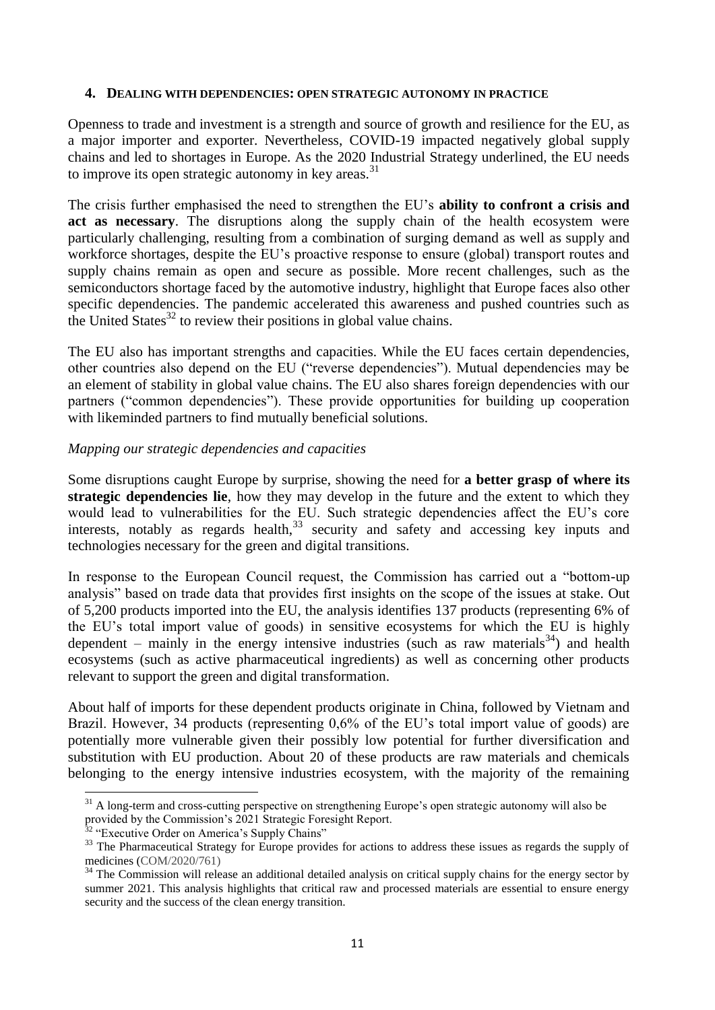#### **4. DEALING WITH DEPENDENCIES: OPEN STRATEGIC AUTONOMY IN PRACTICE**

Openness to trade and investment is a strength and source of growth and resilience for the EU, as a major importer and exporter. Nevertheless, COVID-19 impacted negatively global supply chains and led to shortages in Europe. As the 2020 Industrial Strategy underlined, the EU needs to improve its open strategic autonomy in key areas.<sup>31</sup>

The crisis further emphasised the need to strengthen the EU's **ability to confront a crisis and**  act as necessary. The disruptions along the supply chain of the health ecosystem were particularly challenging, resulting from a combination of surging demand as well as supply and workforce shortages, despite the EU's proactive response to ensure (global) transport routes and supply chains remain as open and secure as possible. More recent challenges, such as the semiconductors shortage faced by the automotive industry, highlight that Europe faces also other specific dependencies. The pandemic accelerated this awareness and pushed countries such as the United States $^{32}$  to review their positions in global value chains.

The EU also has important strengths and capacities. While the EU faces certain dependencies, other countries also depend on the EU ("reverse dependencies"). Mutual dependencies may be an element of stability in global value chains. The EU also shares foreign dependencies with our partners ("common dependencies"). These provide opportunities for building up cooperation with likeminded partners to find mutually beneficial solutions.

#### *Mapping our strategic dependencies and capacities*

Some disruptions caught Europe by surprise, showing the need for **a better grasp of where its strategic dependencies lie**, how they may develop in the future and the extent to which they would lead to vulnerabilities for the EU. Such strategic dependencies affect the EU's core interests, notably as regards health,  $33$  security and safety and accessing key inputs and technologies necessary for the green and digital transitions.

In response to the European Council request, the Commission has carried out a "bottom-up analysis" based on trade data that provides first insights on the scope of the issues at stake. Out of 5,200 products imported into the EU, the analysis identifies 137 products (representing 6% of the EU's total import value of goods) in sensitive ecosystems for which the EU is highly dependent – mainly in the energy intensive industries (such as raw materials<sup>34</sup>) and health ecosystems (such as active pharmaceutical ingredients) as well as concerning other products relevant to support the green and digital transformation.

About half of imports for these dependent products originate in China, followed by Vietnam and Brazil. However, 34 products (representing 0,6% of the EU's total import value of goods) are potentially more vulnerable given their possibly low potential for further diversification and substitution with EU production. About 20 of these products are raw materials and chemicals belonging to the energy intensive industries ecosystem, with the majority of the remaining

<sup>1</sup>  $31$  A long-term and cross-cutting perspective on strengthening Europe's open strategic autonomy will also be provided by the Commission's 2021 Strategic Foresight Report.

<sup>&</sup>lt;sup>32</sup> "Executive Order on America's Supply Chains"

<sup>&</sup>lt;sup>33</sup> The Pharmaceutical Strategy for Europe provides for actions to address these issues as regards the supply of medicines (COM/2020/761)

<sup>&</sup>lt;sup>34</sup> The Commission will release an additional detailed analysis on critical supply chains for the energy sector by summer 2021. This analysis highlights that critical raw and processed materials are essential to ensure energy security and the success of the clean energy transition.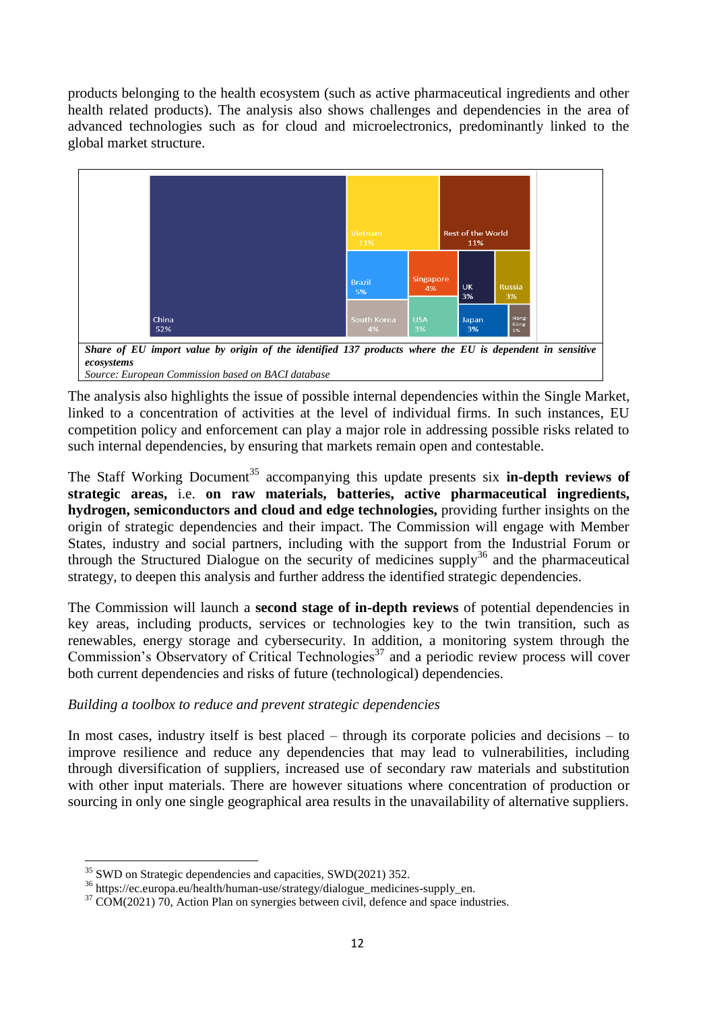products belonging to the health ecosystem (such as active pharmaceutical ingredients and other health related products). The analysis also shows challenges and dependencies in the area of advanced technologies such as for cloud and microelectronics, predominantly linked to the global market structure.



*Share of EU import value by origin of the identified 137 products where the EU is dependent in sensitive ecosystems Source: European Commission based on BACI database*

The analysis also highlights the issue of possible internal dependencies within the Single Market, linked to a concentration of activities at the level of individual firms. In such instances, EU competition policy and enforcement can play a major role in addressing possible risks related to such internal dependencies, by ensuring that markets remain open and contestable.

The Staff Working Document<sup>35</sup> accompanying this update presents six **in-depth reviews of strategic areas,** i.e. **on raw materials, batteries, active pharmaceutical ingredients, hydrogen, semiconductors and cloud and edge technologies,** providing further insights on the origin of strategic dependencies and their impact. The Commission will engage with Member States, industry and social partners, including with the support from the Industrial Forum or through the Structured Dialogue on the security of medicines supply<sup>36</sup> and the pharmaceutical strategy, to deepen this analysis and further address the identified strategic dependencies.

The Commission will launch a **second stage of in-depth reviews** of potential dependencies in key areas, including products, services or technologies key to the twin transition, such as renewables, energy storage and cybersecurity. In addition, a monitoring system through the Commission's Observatory of Critical Technologies<sup>37</sup> and a periodic review process will cover both current dependencies and risks of future (technological) dependencies.

## *Building a toolbox to reduce and prevent strategic dependencies*

In most cases, industry itself is best placed – through its corporate policies and decisions – to improve resilience and reduce any dependencies that may lead to vulnerabilities, including through diversification of suppliers, increased use of secondary raw materials and substitution with other input materials. There are however situations where concentration of production or sourcing in only one single geographical area results in the unavailability of alternative suppliers.

 $\overline{a}$ 

<sup>&</sup>lt;sup>35</sup> SWD on Strategic dependencies and capacities, SWD(2021) 352.

<sup>36</sup> https://ec.europa.eu/health/human-use/strategy/dialogue\_medicines-supply\_en.

 $37$  COM(2021) 70, Action Plan on synergies between civil, defence and space industries.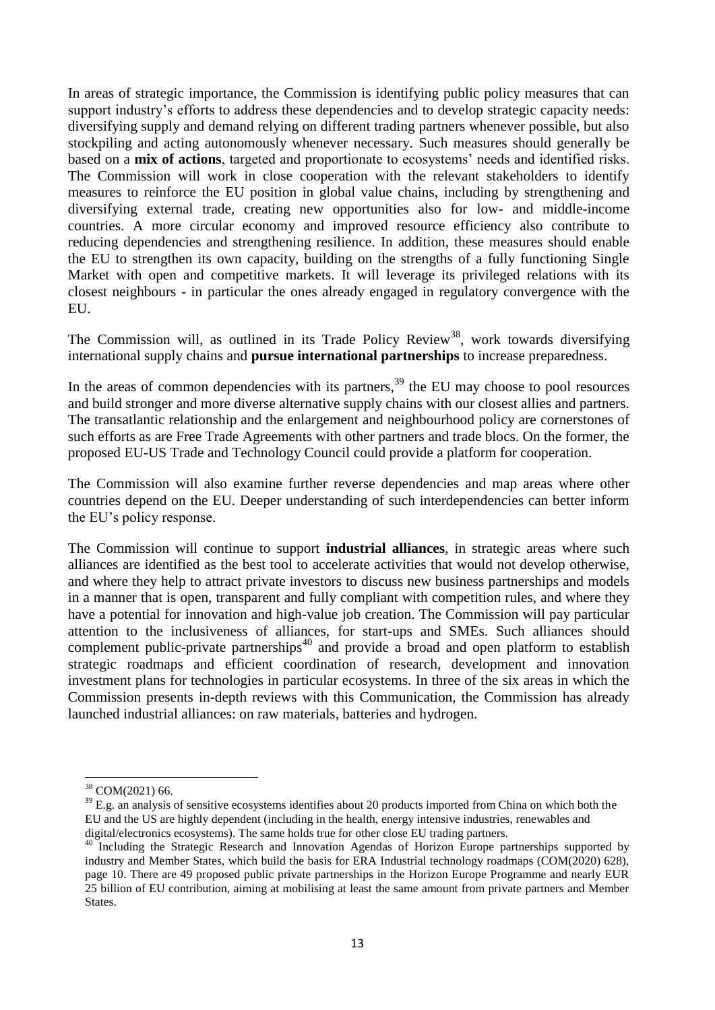In areas of strategic importance, the Commission is identifying public policy measures that can support industry's efforts to address these dependencies and to develop strategic capacity needs: diversifying supply and demand relying on different trading partners whenever possible, but also stockpiling and acting autonomously whenever necessary. Such measures should generally be based on a **mix of actions**, targeted and proportionate to ecosystems' needs and identified risks. The Commission will work in close cooperation with the relevant stakeholders to identify measures to reinforce the EU position in global value chains, including by strengthening and diversifying external trade, creating new opportunities also for low- and middle-income countries. A more circular economy and improved resource efficiency also contribute to reducing dependencies and strengthening resilience. In addition, these measures should enable the EU to strengthen its own capacity, building on the strengths of a fully functioning Single Market with open and competitive markets. It will leverage its privileged relations with its closest neighbours - in particular the ones already engaged in regulatory convergence with the EU.

The Commission will, as outlined in its Trade Policy Review<sup>38</sup>, work towards diversifying international supply chains and **pursue international partnerships** to increase preparedness.

In the areas of common dependencies with its partners,  $39$  the EU may choose to pool resources and build stronger and more diverse alternative supply chains with our closest allies and partners. The transatlantic relationship and the enlargement and neighbourhood policy are cornerstones of such efforts as are Free Trade Agreements with other partners and trade blocs. On the former, the proposed EU-US Trade and Technology Council could provide a platform for cooperation.

The Commission will also examine further reverse dependencies and map areas where other countries depend on the EU. Deeper understanding of such interdependencies can better inform the EU's policy response.

The Commission will continue to support **industrial alliances**, in strategic areas where such alliances are identified as the best tool to accelerate activities that would not develop otherwise, and where they help to attract private investors to discuss new business partnerships and models in a manner that is open, transparent and fully compliant with competition rules, and where they have a potential for innovation and high-value job creation. The Commission will pay particular attention to the inclusiveness of alliances, for start-ups and SMEs. Such alliances should complement public-private partnerships<sup>40</sup> and provide a broad and open platform to establish strategic roadmaps and efficient coordination of research, development and innovation investment plans for technologies in particular ecosystems. In three of the six areas in which the Commission presents in-depth reviews with this Communication, the Commission has already launched industrial alliances: on raw materials, batteries and hydrogen.

 $\overline{a}$ 

<sup>38</sup> COM(2021) 66.

<sup>&</sup>lt;sup>39</sup> E.g. an analysis of sensitive ecosystems identifies about 20 products imported from China on which both the EU and the US are highly dependent (including in the health, energy intensive industries, renewables and digital/electronics ecosystems). The same holds true for other close EU trading partners.

<sup>&</sup>lt;sup>40</sup> Including the Strategic Research and Innovation Agendas of Horizon Europe partnerships supported by industry and Member States, which build the basis for ERA Industrial technology roadmaps (COM(2020) 628), page 10. There are 49 proposed public private partnerships in the Horizon Europe Programme and nearly EUR 25 billion of EU contribution, aiming at mobilising at least the same amount from private partners and Member States.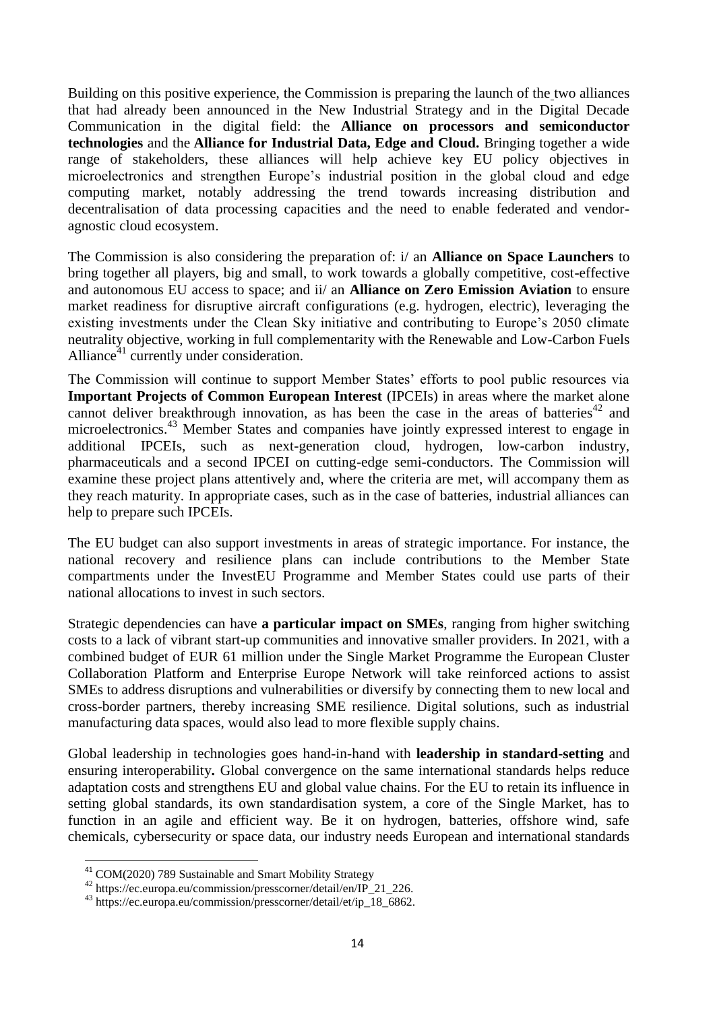Building on this positive experience, the Commission is preparing the launch of the two alliances that had already been announced in the New Industrial Strategy and in the Digital Decade Communication in the digital field: the **Alliance on processors and semiconductor technologies** and the **Alliance for Industrial Data, Edge and Cloud.** Bringing together a wide range of stakeholders, these alliances will help achieve key EU policy objectives in microelectronics and strengthen Europe's industrial position in the global cloud and edge computing market, notably addressing the trend towards increasing distribution and decentralisation of data processing capacities and the need to enable federated and vendoragnostic cloud ecosystem.

The Commission is also considering the preparation of: i/ an **Alliance on Space Launchers** to bring together all players, big and small, to work towards a globally competitive, cost-effective and autonomous EU access to space; and ii/ an **Alliance on Zero Emission Aviation** to ensure market readiness for disruptive aircraft configurations (e.g. hydrogen, electric), leveraging the existing investments under the Clean Sky initiative and contributing to Europe's 2050 climate neutrality objective, working in full complementarity with the Renewable and Low-Carbon Fuels Alliance $41$  currently under consideration.

The Commission will continue to support Member States' efforts to pool public resources via **Important Projects of Common European Interest** (IPCEIs) in areas where the market alone cannot deliver breakthrough innovation, as has been the case in the areas of batteries<sup>42</sup> and microelectronics.<sup>43</sup> Member States and companies have jointly expressed interest to engage in additional IPCEIs, such as next-generation cloud, hydrogen, low-carbon industry, pharmaceuticals and a second IPCEI on cutting-edge semi-conductors. The Commission will examine these project plans attentively and, where the criteria are met, will accompany them as they reach maturity. In appropriate cases, such as in the case of batteries, industrial alliances can help to prepare such IPCEIs.

The EU budget can also support investments in areas of strategic importance. For instance, the national recovery and resilience plans can include contributions to the Member State compartments under the InvestEU Programme and Member States could use parts of their national allocations to invest in such sectors.

Strategic dependencies can have **a particular impact on SMEs**, ranging from higher switching costs to a lack of vibrant start-up communities and innovative smaller providers. In 2021, with a combined budget of EUR 61 million under the Single Market Programme the European Cluster Collaboration Platform and Enterprise Europe Network will take reinforced actions to assist SMEs to address disruptions and vulnerabilities or diversify by connecting them to new local and cross-border partners, thereby increasing SME resilience. Digital solutions, such as industrial manufacturing data spaces, would also lead to more flexible supply chains.

Global leadership in technologies goes hand-in-hand with **leadership in standard-setting** and ensuring interoperability**.** Global convergence on the same international standards helps reduce adaptation costs and strengthens EU and global value chains. For the EU to retain its influence in setting global standards, its own standardisation system, a core of the Single Market, has to function in an agile and efficient way. Be it on hydrogen, batteries, offshore wind, safe chemicals, cybersecurity or space data, our industry needs European and international standards

<sup>&</sup>lt;sup>41</sup> COM(2020) 789 Sustainable and Smart Mobility Strategy

<sup>42</sup> https://ec.europa.eu/commission/presscorner/detail/en/IP\_21\_226.

<sup>&</sup>lt;sup>43</sup> https://ec.europa.eu/commission/presscorner/detail/et/ip\_18\_6862.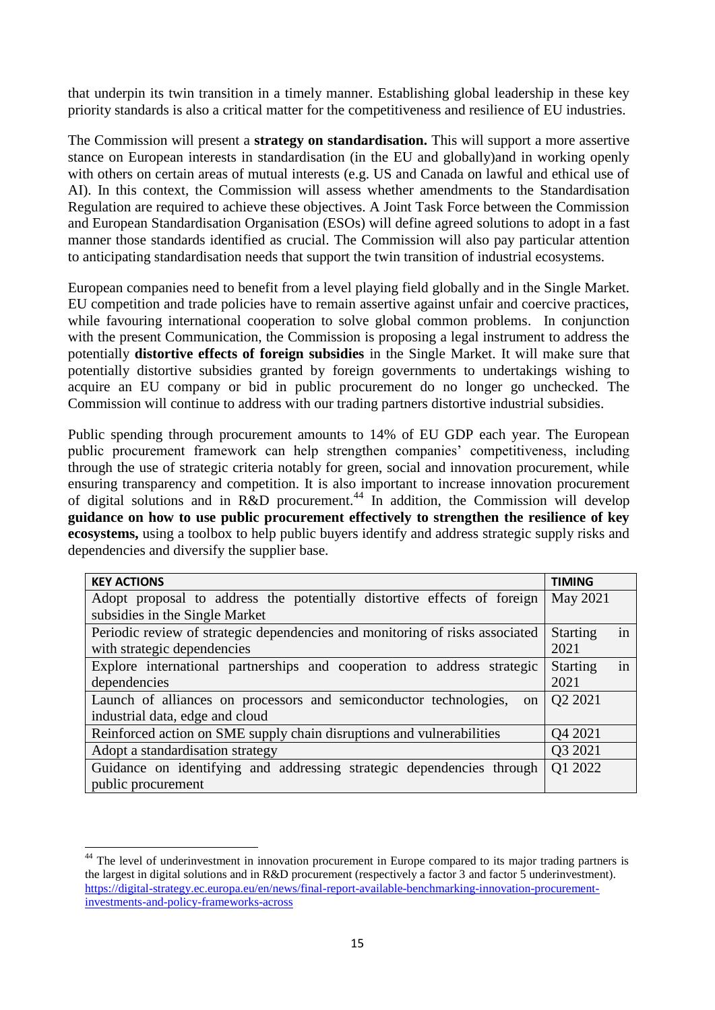that underpin its twin transition in a timely manner. Establishing global leadership in these key priority standards is also a critical matter for the competitiveness and resilience of EU industries.

The Commission will present a **strategy on standardisation.** This will support a more assertive stance on European interests in standardisation (in the EU and globally)and in working openly with others on certain areas of mutual interests (e.g. US and Canada on lawful and ethical use of AI). In this context, the Commission will assess whether amendments to the Standardisation Regulation are required to achieve these objectives. A Joint Task Force between the Commission and European Standardisation Organisation (ESOs) will define agreed solutions to adopt in a fast manner those standards identified as crucial. The Commission will also pay particular attention to anticipating standardisation needs that support the twin transition of industrial ecosystems.

European companies need to benefit from a level playing field globally and in the Single Market. EU competition and trade policies have to remain assertive against unfair and coercive practices, while favouring international cooperation to solve global common problems. In conjunction with the present Communication, the Commission is proposing a legal instrument to address the potentially **distortive effects of foreign subsidies** in the Single Market. It will make sure that potentially distortive subsidies granted by foreign governments to undertakings wishing to acquire an EU company or bid in public procurement do no longer go unchecked. The Commission will continue to address with our trading partners distortive industrial subsidies.

Public spending through procurement amounts to 14% of EU GDP each year. The European public procurement framework can help strengthen companies' competitiveness, including through the use of strategic criteria notably for green, social and innovation procurement, while ensuring transparency and competition. It is also important to increase innovation procurement of digital solutions and in R&D procurement.<sup>44</sup> In addition, the Commission will develop **guidance on how to use public procurement effectively to strengthen the resilience of key ecosystems,** using a toolbox to help public buyers identify and address strategic supply risks and dependencies and diversify the supplier base.

| <b>KEY ACTIONS</b>                                                                 | <b>TIMING</b>         |
|------------------------------------------------------------------------------------|-----------------------|
| Adopt proposal to address the potentially distortive effects of foreign            | May 2021              |
| subsidies in the Single Market                                                     |                       |
| Periodic review of strategic dependencies and monitoring of risks associated       | in<br><b>Starting</b> |
| with strategic dependencies                                                        | 2021                  |
| Explore international partnerships and cooperation to address strategic            | in<br><b>Starting</b> |
| dependencies                                                                       | 2021                  |
| Launch of alliances on processors and semiconductor technologies,<br><sub>on</sub> | Q2 2021               |
| industrial data, edge and cloud                                                    |                       |
| Reinforced action on SME supply chain disruptions and vulnerabilities              | Q4 2021               |
| Adopt a standardisation strategy                                                   | Q3 2021               |
| Guidance on identifying and addressing strategic dependencies through              | Q1 2022               |
| public procurement                                                                 |                       |

**<sup>.</sup>** <sup>44</sup> The level of underinvestment in innovation procurement in Europe compared to its major trading partners is the largest in digital solutions and in R&D procurement (respectively a factor 3 and factor 5 underinvestment). [https://digital-strategy.ec.europa.eu/en/news/final-report-available-benchmarking-innovation-procurement](https://digital-strategy.ec.europa.eu/en/news/final-report-available-benchmarking-innovation-procurement-investments-and-policy-frameworks-across)[investments-and-policy-frameworks-across](https://digital-strategy.ec.europa.eu/en/news/final-report-available-benchmarking-innovation-procurement-investments-and-policy-frameworks-across)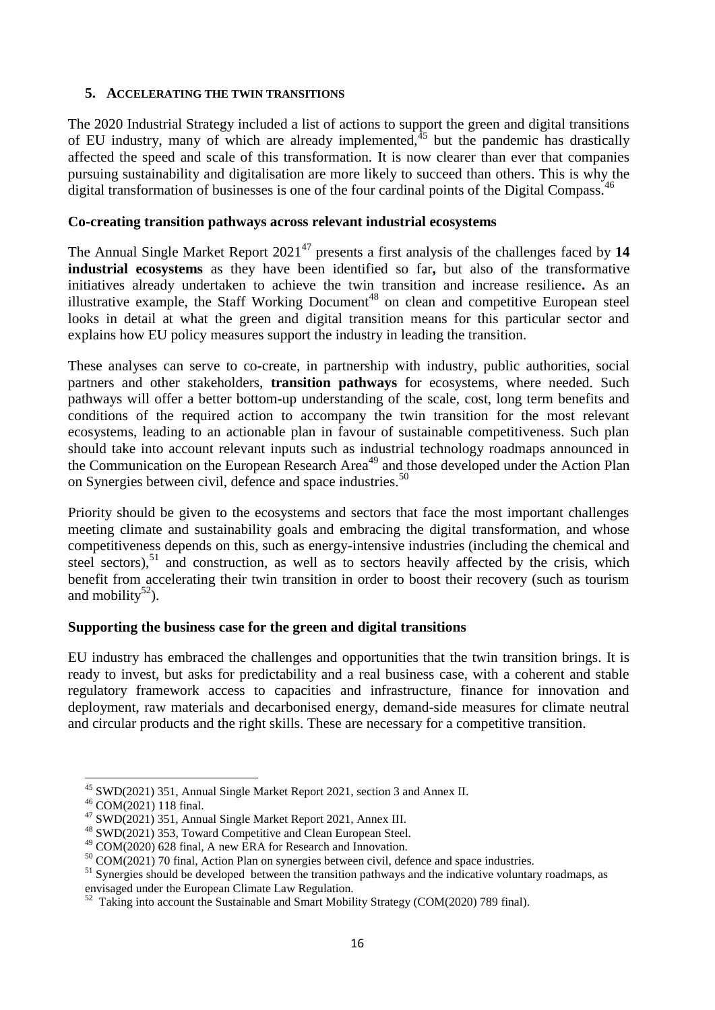### **5. ACCELERATING THE TWIN TRANSITIONS**

The 2020 Industrial Strategy included a list of actions to support the green and digital transitions of EU industry, many of which are already implemented, $45$  but the pandemic has drastically affected the speed and scale of this transformation. It is now clearer than ever that companies pursuing sustainability and digitalisation are more likely to succeed than others. This is why the digital transformation of businesses is one of the four cardinal points of the Digital Compass.<sup>46</sup>

### **Co-creating transition pathways across relevant industrial ecosystems**

The Annual Single Market Report 2021<sup>47</sup> presents a first analysis of the challenges faced by 14 **industrial ecosystems** as they have been identified so far**,** but also of the transformative initiatives already undertaken to achieve the twin transition and increase resilience**.** As an illustrative example, the Staff Working Document<sup>48</sup> on clean and competitive European steel looks in detail at what the green and digital transition means for this particular sector and explains how EU policy measures support the industry in leading the transition.

These analyses can serve to co-create, in partnership with industry, public authorities, social partners and other stakeholders, **transition pathways** for ecosystems, where needed. Such pathways will offer a better bottom-up understanding of the scale, cost, long term benefits and conditions of the required action to accompany the twin transition for the most relevant ecosystems, leading to an actionable plan in favour of sustainable competitiveness. Such plan should take into account relevant inputs such as industrial technology roadmaps announced in the Communication on the European Research Area<sup>49</sup> and those developed under the Action Plan on Synergies between civil, defence and space industries.<sup>50</sup>

Priority should be given to the ecosystems and sectors that face the most important challenges meeting climate and sustainability goals and embracing the digital transformation, and whose competitiveness depends on this, such as energy-intensive industries (including the chemical and steel sectors),<sup>51</sup> and construction, as well as to sectors heavily affected by the crisis, which benefit from accelerating their twin transition in order to boost their recovery (such as tourism and mobility<sup>52</sup>).

## **Supporting the business case for the green and digital transitions**

EU industry has embraced the challenges and opportunities that the twin transition brings. It is ready to invest, but asks for predictability and a real business case, with a coherent and stable regulatory framework access to capacities and infrastructure, finance for innovation and deployment, raw materials and decarbonised energy, demand-side measures for climate neutral and circular products and the right skills. These are necessary for a competitive transition.

 $\overline{a}$ <sup>45</sup> SWD(2021) 351, Annual Single Market Report 2021, section 3 and Annex II.

<sup>46</sup> COM(2021) 118 final.

<sup>47</sup> SWD(2021) 351, Annual Single Market Report 2021, Annex III.

<sup>48</sup> SWD(2021) 353, Toward Competitive and Clean European Steel.

<sup>49</sup> COM(2020) 628 final, A new ERA for Research and Innovation.

 $50 \text{ COM}(2021)$  70 final, Action Plan on synergies between civil, defence and space industries.

<sup>&</sup>lt;sup>51</sup> Synergies should be developed between the transition pathways and the indicative voluntary roadmaps, as

envisaged under the European Climate Law Regulation.<br><sup>52</sup> Taking into account the Sustainable and Smart Mobility Strategy (COM(2020) 789 final).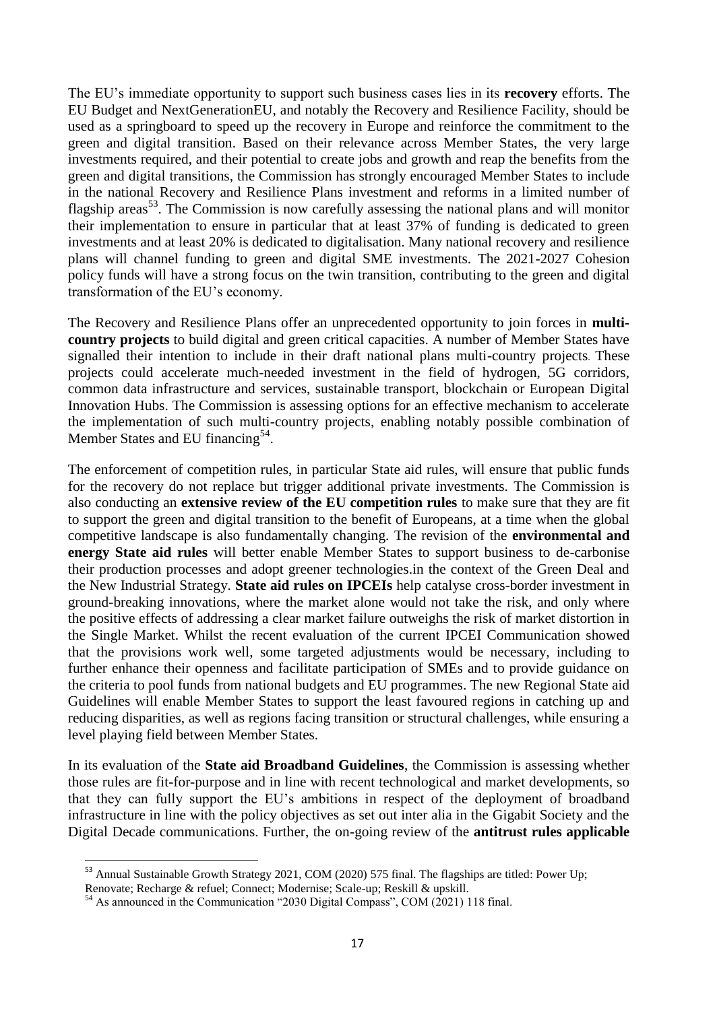The EU's immediate opportunity to support such business cases lies in its **recovery** efforts. The EU Budget and NextGenerationEU, and notably the Recovery and Resilience Facility, should be used as a springboard to speed up the recovery in Europe and reinforce the commitment to the green and digital transition. Based on their relevance across Member States, the very large investments required, and their potential to create jobs and growth and reap the benefits from the green and digital transitions, the Commission has strongly encouraged Member States to include in the national Recovery and Resilience Plans investment and reforms in a limited number of flagship areas<sup>53</sup>. The Commission is now carefully assessing the national plans and will monitor their implementation to ensure in particular that at least 37% of funding is dedicated to green investments and at least 20% is dedicated to digitalisation. Many national recovery and resilience plans will channel funding to green and digital SME investments. The 2021-2027 Cohesion policy funds will have a strong focus on the twin transition, contributing to the green and digital transformation of the EU's economy.

The Recovery and Resilience Plans offer an unprecedented opportunity to join forces in **multicountry projects** to build digital and green critical capacities. A number of Member States have signalled their intention to include in their draft national plans multi-country projects. These projects could accelerate much-needed investment in the field of hydrogen, 5G corridors, common data infrastructure and services, sustainable transport, blockchain or European Digital Innovation Hubs. The Commission is assessing options for an effective mechanism to accelerate the implementation of such multi-country projects, enabling notably possible combination of Member States and EU financing<sup>54</sup>.

The enforcement of competition rules, in particular State aid rules, will ensure that public funds for the recovery do not replace but trigger additional private investments. The Commission is also conducting an **extensive review of the EU competition rules** to make sure that they are fit to support the green and digital transition to the benefit of Europeans, at a time when the global competitive landscape is also fundamentally changing. The revision of the **environmental and energy State aid rules** will better enable Member States to support business to de-carbonise their production processes and adopt greener technologies.in the context of the Green Deal and the New Industrial Strategy. **State aid rules on IPCEIs** help catalyse cross-border investment in ground-breaking innovations, where the market alone would not take the risk, and only where the positive effects of addressing a clear market failure outweighs the risk of market distortion in the Single Market. Whilst the recent evaluation of the current IPCEI Communication showed that the provisions work well, some targeted adjustments would be necessary, including to further enhance their openness and facilitate participation of SMEs and to provide guidance on the criteria to pool funds from national budgets and EU programmes. The new Regional State aid Guidelines will enable Member States to support the least favoured regions in catching up and reducing disparities, as well as regions facing transition or structural challenges, while ensuring a level playing field between Member States.

In its evaluation of the **State aid Broadband Guidelines**, the Commission is assessing whether those rules are fit-for-purpose and in line with recent technological and market developments, so that they can fully support the EU's ambitions in respect of the deployment of broadband infrastructure in line with the policy objectives as set out inter alia in the Gigabit Society and the Digital Decade communications. Further, the on-going review of the **antitrust rules applicable** 

<sup>&</sup>lt;sup>53</sup> Annual Sustainable Growth Strategy 2021, COM (2020) 575 final. The flagships are titled: Power Up:

Renovate; Recharge & refuel; Connect; Modernise; Scale-up; Reskill & upskill.

<sup>&</sup>lt;sup>54</sup> As announced in the Communication "2030 Digital Compass", COM (2021) 118 final.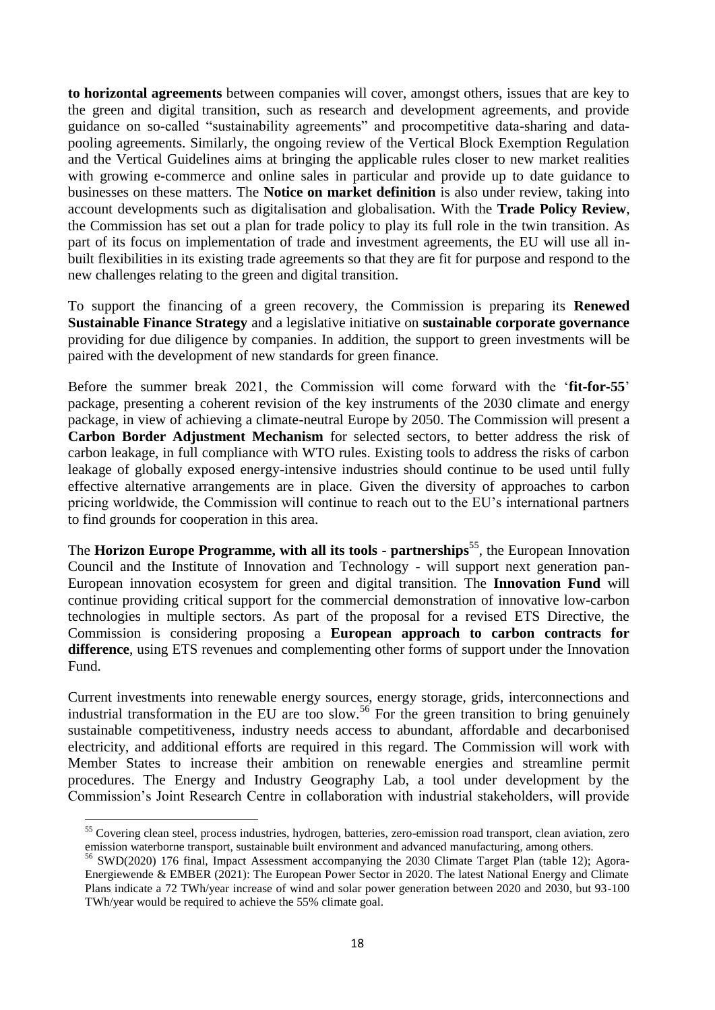**to horizontal agreements** between companies will cover, amongst others, issues that are key to the green and digital transition, such as research and development agreements, and provide guidance on so-called "sustainability agreements" and procompetitive data-sharing and datapooling agreements. Similarly, the ongoing review of the Vertical Block Exemption Regulation and the Vertical Guidelines aims at bringing the applicable rules closer to new market realities with growing e-commerce and online sales in particular and provide up to date guidance to businesses on these matters. The **Notice on market definition** is also under review, taking into account developments such as digitalisation and globalisation. With the **Trade Policy Review**, the Commission has set out a plan for trade policy to play its full role in the twin transition. As part of its focus on implementation of trade and investment agreements, the EU will use all inbuilt flexibilities in its existing trade agreements so that they are fit for purpose and respond to the new challenges relating to the green and digital transition.

To support the financing of a green recovery, the Commission is preparing its **Renewed Sustainable Finance Strategy** and a legislative initiative on **sustainable corporate governance**  providing for due diligence by companies. In addition, the support to green investments will be paired with the development of new standards for green finance.

Before the summer break 2021, the Commission will come forward with the '**fit-for-55**' package, presenting a coherent revision of the key instruments of the 2030 climate and energy package, in view of achieving a climate-neutral Europe by 2050. The Commission will present a **Carbon Border Adjustment Mechanism** for selected sectors, to better address the risk of carbon leakage, in full compliance with WTO rules. Existing tools to address the risks of carbon leakage of globally exposed energy-intensive industries should continue to be used until fully effective alternative arrangements are in place. Given the diversity of approaches to carbon pricing worldwide, the Commission will continue to reach out to the EU's international partners to find grounds for cooperation in this area.

The **Horizon Europe Programme, with all its tools - partnerships<sup>55</sup>, the European Innovation** Council and the Institute of Innovation and Technology - will support next generation pan-European innovation ecosystem for green and digital transition. The **Innovation Fund** will continue providing critical support for the commercial demonstration of innovative low-carbon technologies in multiple sectors. As part of the proposal for a revised ETS Directive, the Commission is considering proposing a **European approach to carbon contracts for difference**, using ETS revenues and complementing other forms of support under the Innovation Fund.

Current investments into renewable energy sources, energy storage, grids, interconnections and industrial transformation in the EU are too slow.<sup>56</sup> For the green transition to bring genuinely sustainable competitiveness, industry needs access to abundant, affordable and decarbonised electricity, and additional efforts are required in this regard. The Commission will work with Member States to increase their ambition on renewable energies and streamline permit procedures. The Energy and Industry Geography Lab, a tool under development by the Commission's Joint Research Centre in collaboration with industrial stakeholders, will provide

<sup>&</sup>lt;sup>55</sup> Covering clean steel, process industries, hydrogen, batteries, zero-emission road transport, clean aviation, zero emission waterborne transport, sustainable built environment and advanced manufacturing, among others.

<sup>&</sup>lt;sup>56</sup> SWD(2020) 176 final, Impact Assessment accompanying the 2030 Climate Target Plan (table 12); Agora-Energiewende & EMBER (2021): The European Power Sector in 2020. The latest National Energy and Climate Plans indicate a 72 TWh/year increase of wind and solar power generation between 2020 and 2030, but 93-100 TWh/year would be required to achieve the 55% climate goal.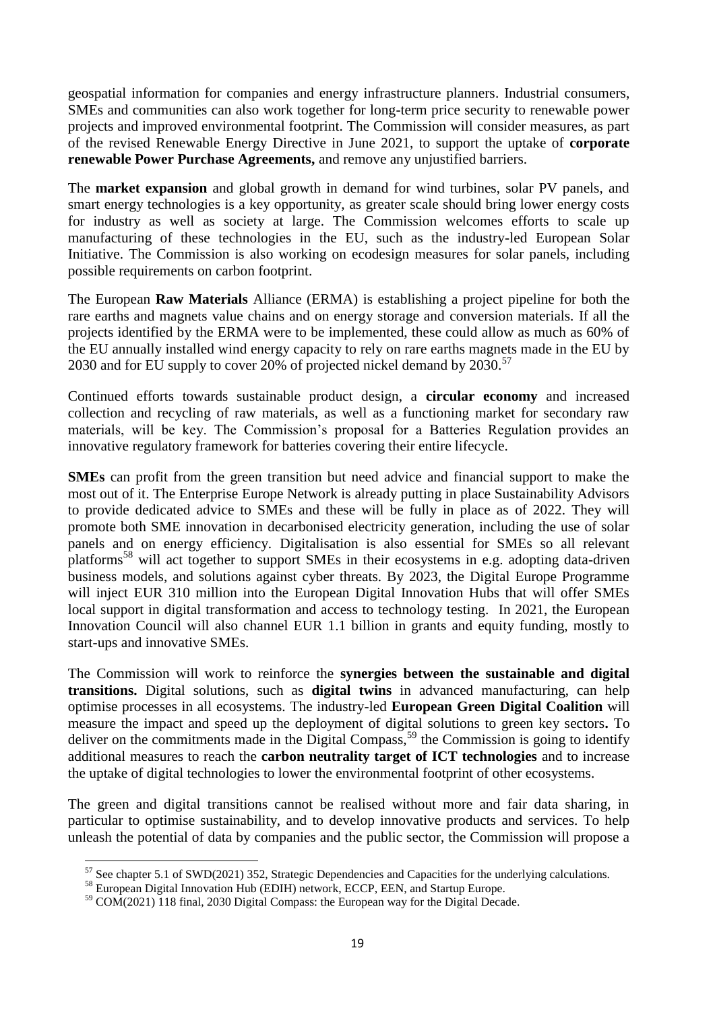geospatial information for companies and energy infrastructure planners. Industrial consumers, SMEs and communities can also work together for long-term price security to renewable power projects and improved environmental footprint. The Commission will consider measures, as part of the revised Renewable Energy Directive in June 2021, to support the uptake of **corporate renewable Power Purchase Agreements,** and remove any unjustified barriers.

The **market expansion** and global growth in demand for wind turbines, solar PV panels, and smart energy technologies is a key opportunity, as greater scale should bring lower energy costs for industry as well as society at large. The Commission welcomes efforts to scale up manufacturing of these technologies in the EU, such as the industry-led European Solar Initiative. The Commission is also working on ecodesign measures for solar panels, including possible requirements on carbon footprint.

The European **Raw Materials** Alliance (ERMA) is establishing a project pipeline for both the rare earths and magnets value chains and on energy storage and conversion materials. If all the projects identified by the ERMA were to be implemented, these could allow as much as 60% of the EU annually installed wind energy capacity to rely on rare earths magnets made in the EU by 2030 and for EU supply to cover 20% of projected nickel demand by 2030.<sup>57</sup>

Continued efforts towards sustainable product design, a **circular economy** and increased collection and recycling of raw materials, as well as a functioning market for secondary raw materials, will be key. The Commission's proposal for a Batteries Regulation provides an innovative regulatory framework for batteries covering their entire lifecycle.

**SMEs** can profit from the green transition but need advice and financial support to make the most out of it. The Enterprise Europe Network is already putting in place Sustainability Advisors to provide dedicated advice to SMEs and these will be fully in place as of 2022. They will promote both SME innovation in decarbonised electricity generation, including the use of solar panels and on energy efficiency. Digitalisation is also essential for SMEs so all relevant platforms<sup>58</sup> will act together to support SMEs in their ecosystems in e.g. adopting data-driven business models, and solutions against cyber threats. By 2023, the Digital Europe Programme will inject EUR 310 million into the European Digital Innovation Hubs that will offer SMEs local support in digital transformation and access to technology testing. In 2021, the European Innovation Council will also channel EUR 1.1 billion in grants and equity funding, mostly to start-ups and innovative SMEs.

The Commission will work to reinforce the **synergies between the sustainable and digital transitions.** Digital solutions, such as **digital twins** in advanced manufacturing, can help optimise processes in all ecosystems. The industry-led **European Green Digital Coalition** will measure the impact and speed up the deployment of digital solutions to green key sectors**.** To deliver on the commitments made in the Digital Compass,  $59$  the Commission is going to identify additional measures to reach the **carbon neutrality target of ICT technologies** and to increase the uptake of digital technologies to lower the environmental footprint of other ecosystems.

The green and digital transitions cannot be realised without more and fair data sharing, in particular to optimise sustainability, and to develop innovative products and services. To help unleash the potential of data by companies and the public sector, the Commission will propose a

 $\overline{a}$ 

 $57$  See chapter 5.1 of SWD(2021) 352, Strategic Dependencies and Capacities for the underlying calculations.

<sup>&</sup>lt;sup>58</sup> European Digital Innovation Hub (EDIH) network, ECCP, EEN, and Startup Europe.

<sup>&</sup>lt;sup>59</sup> COM(2021) 118 final, 2030 Digital Compass: the European way for the Digital Decade.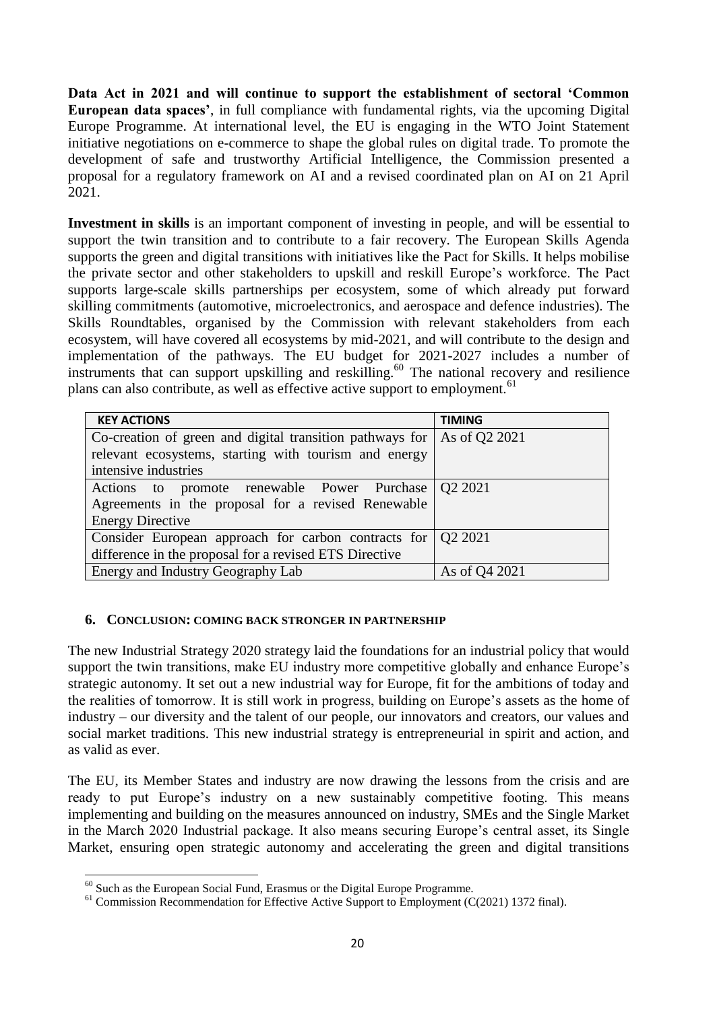**Data Act in 2021 and will continue to support the establishment of sectoral 'Common European data spaces'**, in full compliance with fundamental rights, via the upcoming Digital Europe Programme. At international level, the EU is engaging in the WTO Joint Statement initiative negotiations on e-commerce to shape the global rules on digital trade. To promote the development of safe and trustworthy Artificial Intelligence, the Commission presented a proposal for a regulatory framework on AI and a revised coordinated plan on AI on 21 April 2021.

**Investment in skills** is an important component of investing in people, and will be essential to support the twin transition and to contribute to a fair recovery. The European Skills Agenda supports the green and digital transitions with initiatives like the Pact for Skills. It helps mobilise the private sector and other stakeholders to upskill and reskill Europe's workforce. The Pact supports large-scale skills partnerships per ecosystem, some of which already put forward skilling commitments (automotive, microelectronics, and aerospace and defence industries). The Skills Roundtables, organised by the Commission with relevant stakeholders from each ecosystem, will have covered all ecosystems by mid-2021, and will contribute to the design and implementation of the pathways. The EU budget for 2021-2027 includes a number of instruments that can support upskilling and reskilling.<sup>60</sup> The national recovery and resilience plans can also contribute, as well as effective active support to employment.<sup>61</sup>

| <b>KEY ACTIONS</b>                                                    | <b>TIMING</b> |
|-----------------------------------------------------------------------|---------------|
| Co-creation of green and digital transition pathways for              | As of Q2 2021 |
| relevant ecosystems, starting with tourism and energy                 |               |
| intensive industries                                                  |               |
| Actions to promote renewable Power Purchase Q2 2021                   |               |
| Agreements in the proposal for a revised Renewable                    |               |
| <b>Energy Directive</b>                                               |               |
| Consider European approach for carbon contracts for $\sqrt{Q^2 2021}$ |               |
| difference in the proposal for a revised ETS Directive                |               |
| Energy and Industry Geography Lab                                     | As of Q4 2021 |

### **6. CONCLUSION: COMING BACK STRONGER IN PARTNERSHIP**

The new Industrial Strategy 2020 strategy laid the foundations for an industrial policy that would support the twin transitions, make EU industry more competitive globally and enhance Europe's strategic autonomy. It set out a new industrial way for Europe, fit for the ambitions of today and the realities of tomorrow. It is still work in progress, building on Europe's assets as the home of industry – our diversity and the talent of our people, our innovators and creators, our values and social market traditions. This new industrial strategy is entrepreneurial in spirit and action, and as valid as ever.

The EU, its Member States and industry are now drawing the lessons from the crisis and are ready to put Europe's industry on a new sustainably competitive footing. This means implementing and building on the measures announced on industry, SMEs and the Single Market in the March 2020 Industrial package. It also means securing Europe's central asset, its Single Market, ensuring open strategic autonomy and accelerating the green and digital transitions

<sup>1</sup>  $60$  Such as the European Social Fund, Erasmus or the Digital Europe Programme.

 $61$  Commission Recommendation for Effective Active Support to Employment (C(2021) 1372 final).